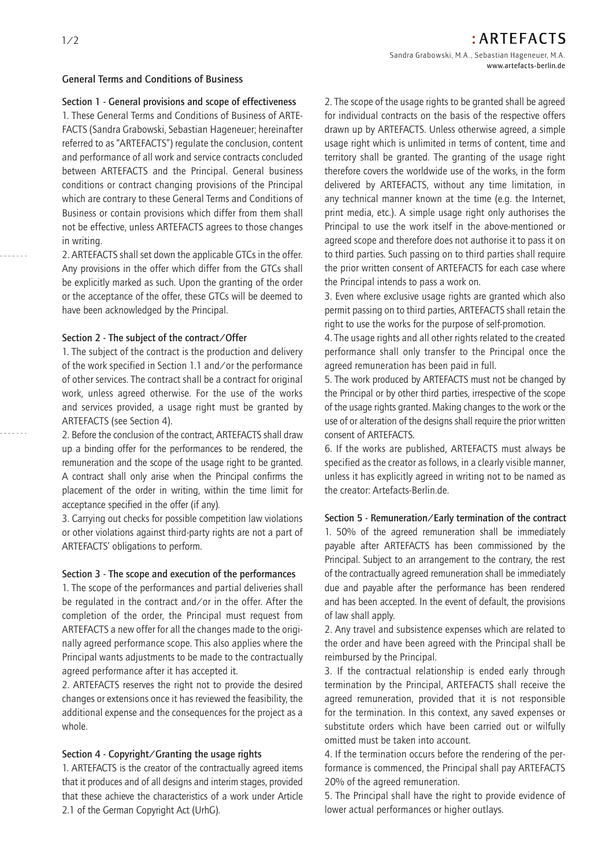### General Terms and Conditions of Business

Section 1 - General provisions and scope of effectiveness

1. These General Terms and Conditions of Business of ARTE-FACTS (Sandra Grabowski, Sebastian Hageneuer; hereinafter referred to as "ARTEFACTS") regulate the conclusion, content and performance of all work and service contracts concluded between ARTEFACTS and the Principal. General business conditions or contract changing provisions of the Principal which are contrary to these General Terms and Conditions of Business or contain provisions which differ from them shall not be effective, unless ARTEFACTS agrees to those changes in writing.

2. ARTEFACTS shall set down the applicable GTCs in the offer. Any provisions in the offer which differ from the GTCs shall be explicitly marked as such. Upon the granting of the order or the acceptance of the offer, these GTCs will be deemed to have been acknowledged by the Principal.

#### Section 2 - The subject of the contract/Offer

1. The subject of the contract is the production and delivery of the work specified in Section 1.1 and/or the performance of other services. The contract shall be a contract for original work, unless agreed otherwise. For the use of the works and services provided, a usage right must be granted by ARTEFACTS (see Section 4).

2. Before the conclusion of the contract, ARTEFACTS shall draw up a binding offer for the performances to be rendered, the remuneration and the scope of the usage right to be granted. A contract shall only arise when the Principal confirms the placement of the order in writing, within the time limit for acceptance specified in the offer (if any).

3. Carrying out checks for possible competition law violations or other violations against third-party rights are not a part of ARTEFACTS' obligations to perform.

#### Section 3 - The scope and execution of the performances

1. The scope of the performances and partial deliveries shall be regulated in the contract and/or in the offer. After the completion of the order, the Principal must request from ARTEFACTS a new offer for all the changes made to the originally agreed performance scope. This also applies where the Principal wants adjustments to be made to the contractually agreed performance after it has accepted it.

2. ARTEFACTS reserves the right not to provide the desired changes or extensions once it has reviewed the feasibility, the additional expense and the consequences for the project as a whole.

### Section 4 - Copyright/Granting the usage rights

1. ARTEFACTS is the creator of the contractually agreed items that it produces and of all designs and interim stages, provided that these achieve the characteristics of a work under Article 2.1 of the German Copyright Act (UrhG).

2. The scope of the usage rights to be granted shall be agreed for individual contracts on the basis of the respective offers drawn up by ARTEFACTS. Unless otherwise agreed, a simple usage right which is unlimited in terms of content, time and territory shall be granted. The granting of the usage right therefore covers the worldwide use of the works, in the form delivered by ARTEFACTS, without any time limitation, in any technical manner known at the time (e.g. the Internet, print media, etc.). A simple usage right only authorises the Principal to use the work itself in the above-mentioned or agreed scope and therefore does not authorise it to pass it on to third parties. Such passing on to third parties shall require the prior written consent of ARTEFACTS for each case where the Principal intends to pass a work on.

3. Even where exclusive usage rights are granted which also permit passing on to third parties, ARTEFACTS shall retain the right to use the works for the purpose of self-promotion.

4. The usage rights and all other rights related to the created performance shall only transfer to the Principal once the agreed remuneration has been paid in full.

5. The work produced by ARTEFACTS must not be changed by the Principal or by other third parties, irrespective of the scope of the usage rights granted. Making changes to the work or the use of or alteration of the designs shall require the prior written consent of ARTEFACTS.

6. If the works are published, ARTEFACTS must always be specified as the creator as follows, in a clearly visible manner, unless it has explicitly agreed in writing not to be named as the creator: Artefacts-Berlin.de.

#### Section 5 - Remuneration/Early termination of the contract

1. 50% of the agreed remuneration shall be immediately payable after ARTEFACTS has been commissioned by the Principal. Subject to an arrangement to the contrary, the rest of the contractually agreed remuneration shall be immediately due and payable after the performance has been rendered and has been accepted. In the event of default, the provisions of law shall apply.

2. Any travel and subsistence expenses which are related to the order and have been agreed with the Principal shall be reimbursed by the Principal.

3. If the contractual relationship is ended early through termination by the Principal, ARTEFACTS shall receive the agreed remuneration, provided that it is not responsible for the termination. In this context, any saved expenses or substitute orders which have been carried out or wilfully omitted must be taken into account.

4. If the termination occurs before the rendering of the performance is commenced, the Principal shall pay ARTEFACTS 20% of the agreed remuneration.

5. The Principal shall have the right to provide evidence of lower actual performances or higher outlays.